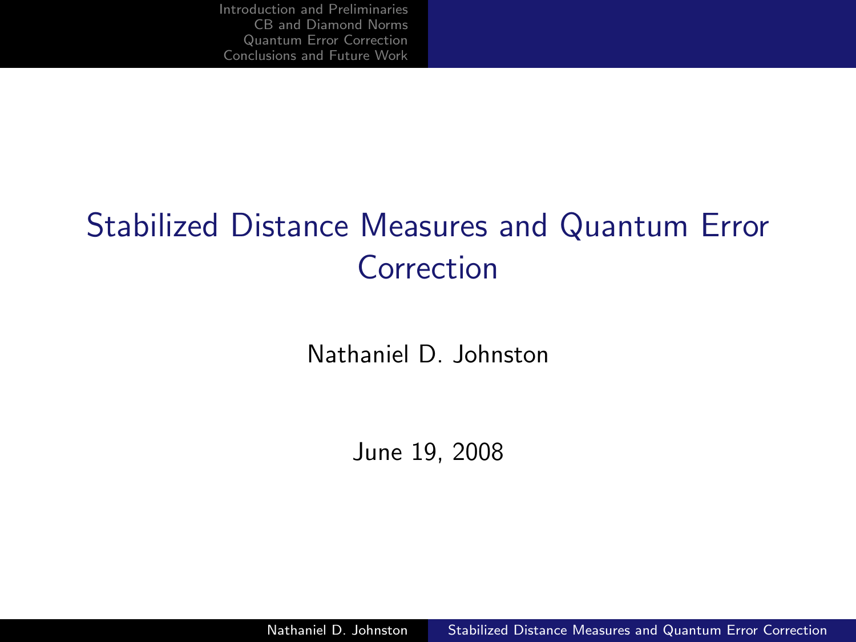# Stabilized Distance Measures and Quantum Error Correction

Nathaniel D. Johnston

<span id="page-0-0"></span>June 19, 2008

Nathaniel D. Johnston [Stabilized Distance Measures and Quantum Error Correction](#page-41-0)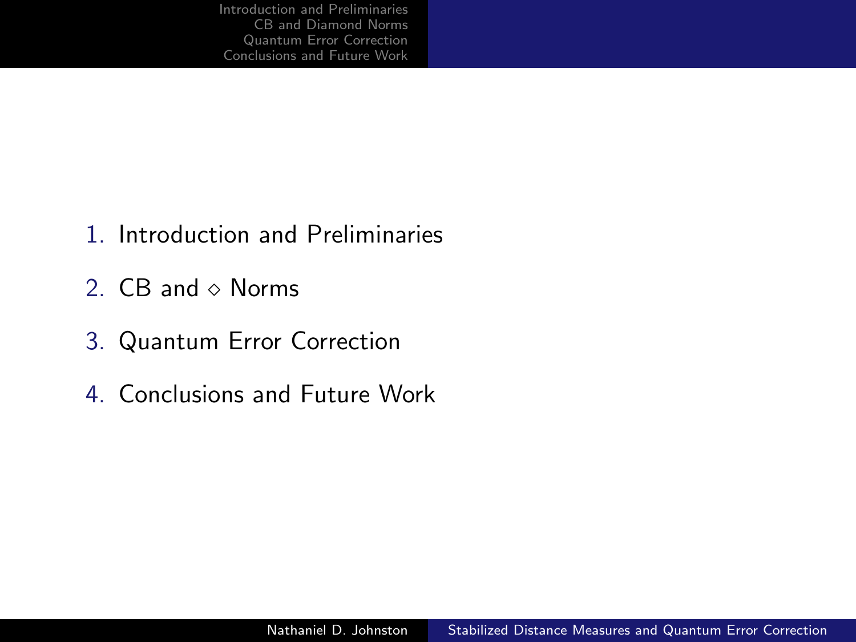- 1. Introduction and Preliminaries
- 2.  $CB$  and  $\diamond$  Norms
- 3. Quantum Error Correction
- 4. Conclusions and Future Work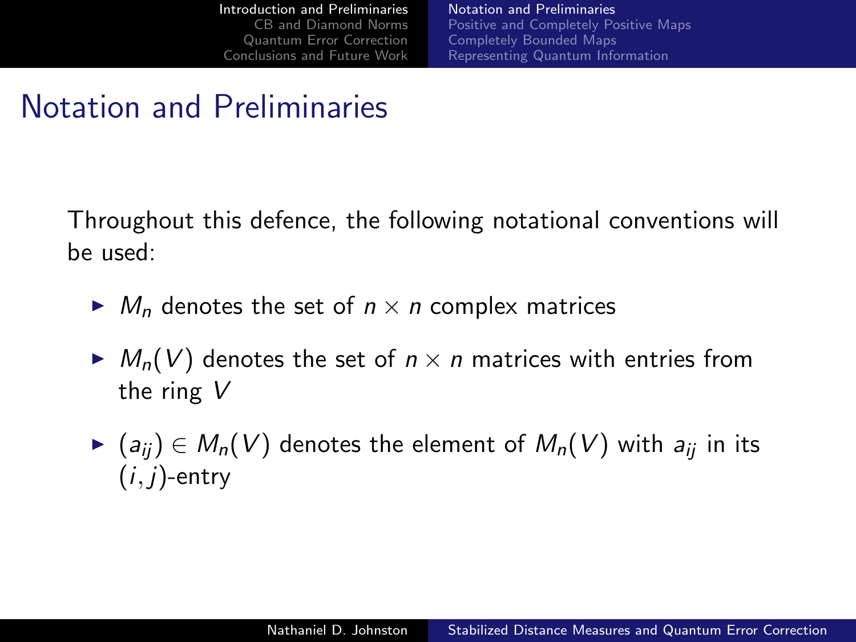<span id="page-2-0"></span>[Notation and Preliminaries](#page-2-0) [Positive and Completely Positive Maps](#page-4-0) [Completely Bounded Maps](#page-8-0) [Representing Quantum Information](#page-11-0)

## Notation and Preliminaries

Throughout this defence, the following notational conventions will be used:

- $\blacktriangleright M_n$  denotes the set of  $n \times n$  complex matrices
- $\blacktriangleright M_n(V)$  denotes the set of  $n \times n$  matrices with entries from the ring V
- ►  $(a_{ii}) \in M_n(V)$  denotes the element of  $M_n(V)$  with  $a_{ii}$  in its  $(i, j)$ -entry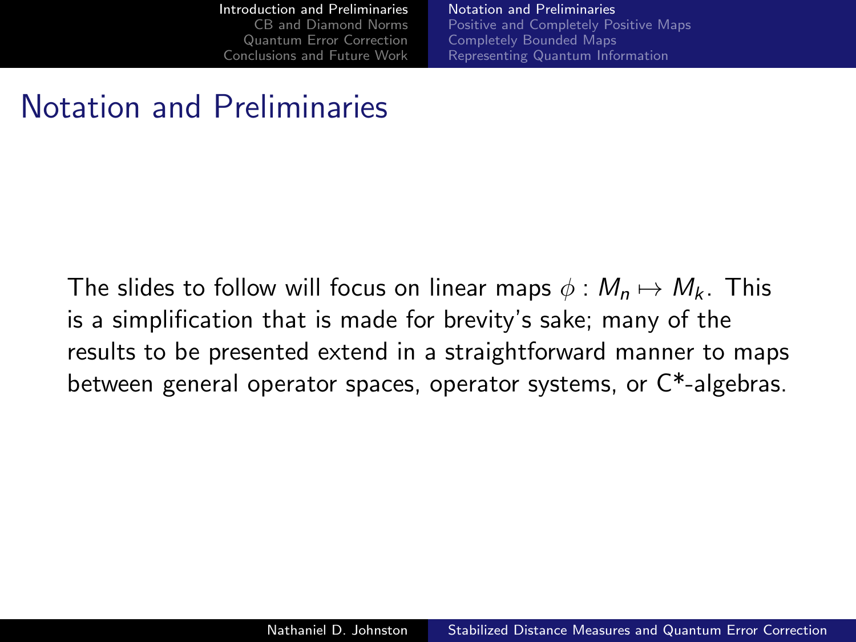[Notation and Preliminaries](#page-2-0) [Positive and Completely Positive Maps](#page-4-0) [Completely Bounded Maps](#page-8-0) [Representing Quantum Information](#page-11-0)

## Notation and Preliminaries

The slides to follow will focus on linear maps  $\phi : M_n \mapsto M_k$ . This is a simplification that is made for brevity's sake; many of the results to be presented extend in a straightforward manner to maps between general operator spaces, operator systems, or C\*-algebras.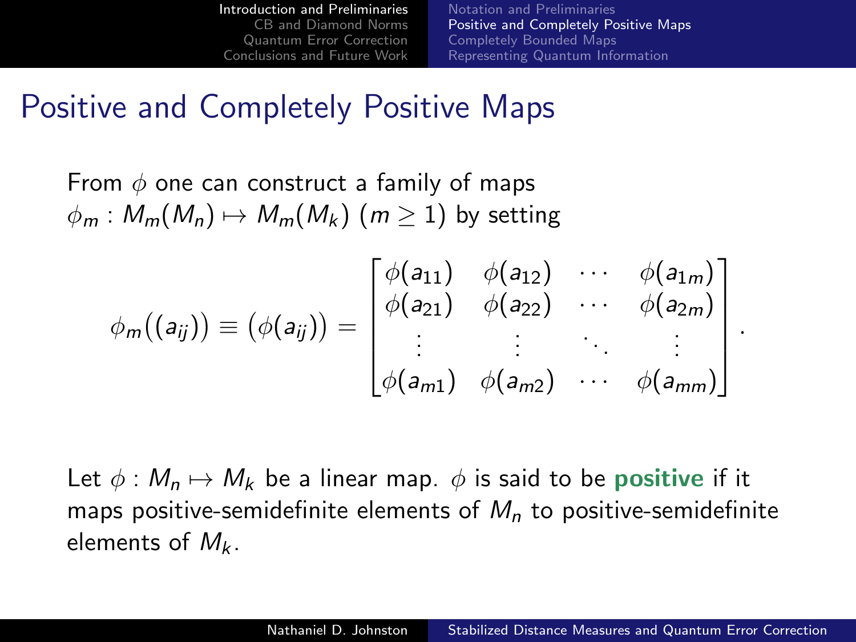[Notation and Preliminaries](#page-2-0) [Positive and Completely Positive Maps](#page-4-0) [Completely Bounded Maps](#page-8-0) [Representing Quantum Information](#page-11-0)

<span id="page-4-0"></span>.

#### Positive and Completely Positive Maps

From  $\phi$  one can construct a family of maps  $\phi_m : M_m(M_n) \mapsto M_m(M_k)$   $(m \ge 1)$  by setting

$$
\phi_m((a_{ij})) \equiv (\phi(a_{ij})) = \begin{bmatrix} \phi(a_{11}) & \phi(a_{12}) & \cdots & \phi(a_{1m}) \\ \phi(a_{21}) & \phi(a_{22}) & \cdots & \phi(a_{2m}) \\ \vdots & \vdots & \ddots & \vdots \\ \phi(a_{m1}) & \phi(a_{m2}) & \cdots & \phi(a_{mm}) \end{bmatrix}
$$

Let  $\phi : M_n \mapsto M_k$  be a linear map.  $\phi$  is said to be positive if it maps positive-semidefinite elements of  $M<sub>n</sub>$  to positive-semidefinite elements of  $M_k$ .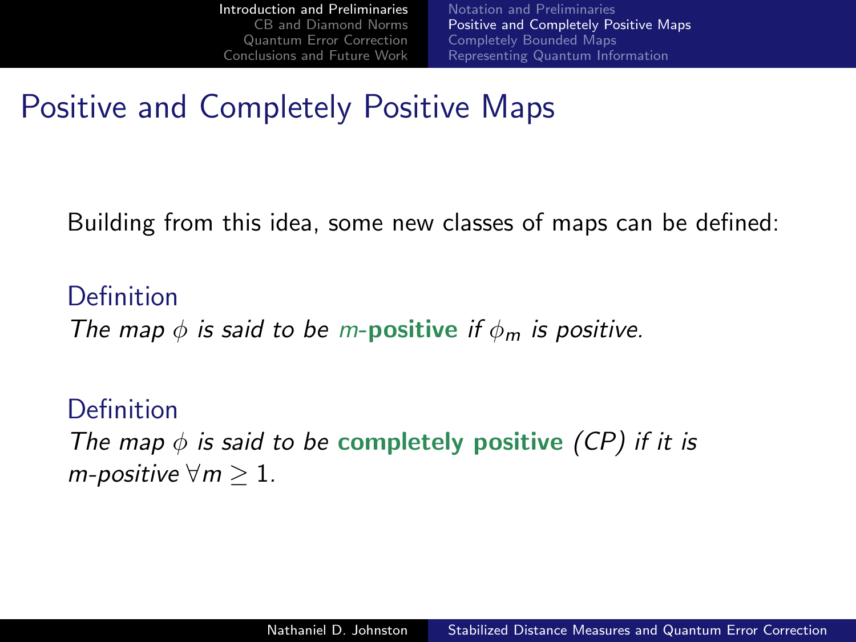[Notation and Preliminaries](#page-2-0) [Positive and Completely Positive Maps](#page-4-0) [Completely Bounded Maps](#page-8-0) [Representing Quantum Information](#page-11-0)

## Positive and Completely Positive Maps

Building from this idea, some new classes of maps can be defined:

Definition The map  $\phi$  is said to be m-positive if  $\phi_m$  is positive.

Definition The map  $\phi$  is said to be completely positive (CP) if it is m-positive  $\forall m \geq 1$ .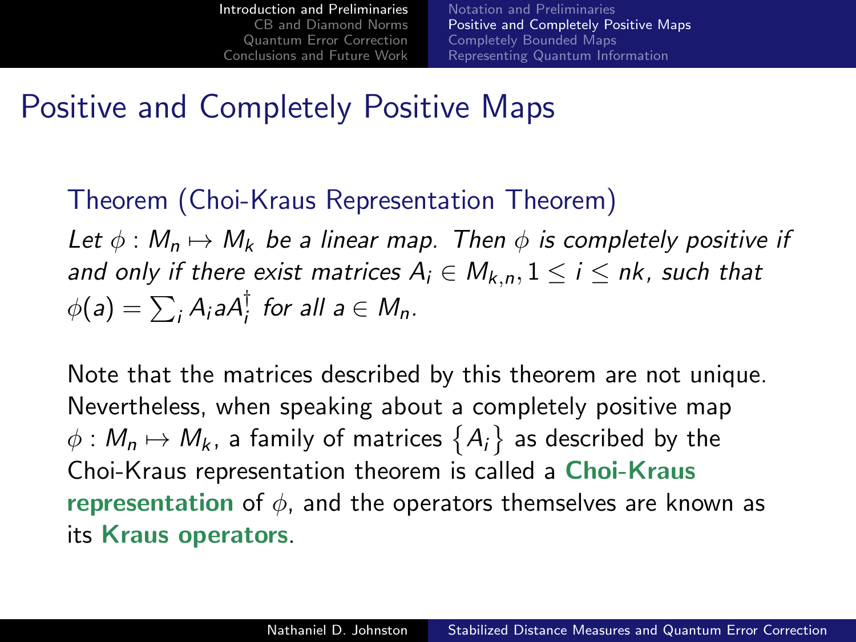[Notation and Preliminaries](#page-2-0) [Positive and Completely Positive Maps](#page-4-0) [Completely Bounded Maps](#page-8-0) [Representing Quantum Information](#page-11-0)

### Positive and Completely Positive Maps

#### Theorem (Choi-Kraus Representation Theorem)

Let  $\phi : M_n \mapsto M_k$  be a linear map. Then  $\phi$  is completely positive if and only if there exist matrices  $A_i \in M_{k,n}, 1 \le i \le nk$ , such that  $\phi(a) = \sum_i A_i a A_i^{\dagger}$  for all  $a \in M_n$ .

Note that the matrices described by this theorem are not unique. Nevertheless, when speaking about a completely positive map  $\phi: \mathcal{M}_n \mapsto \mathcal{M}_k$ , a family of matrices  $\big\{A_i\big\}$  as described by the Choi-Kraus representation theorem is called a Choi-Kraus representation of  $\phi$ , and the operators themselves are known as its Kraus operators.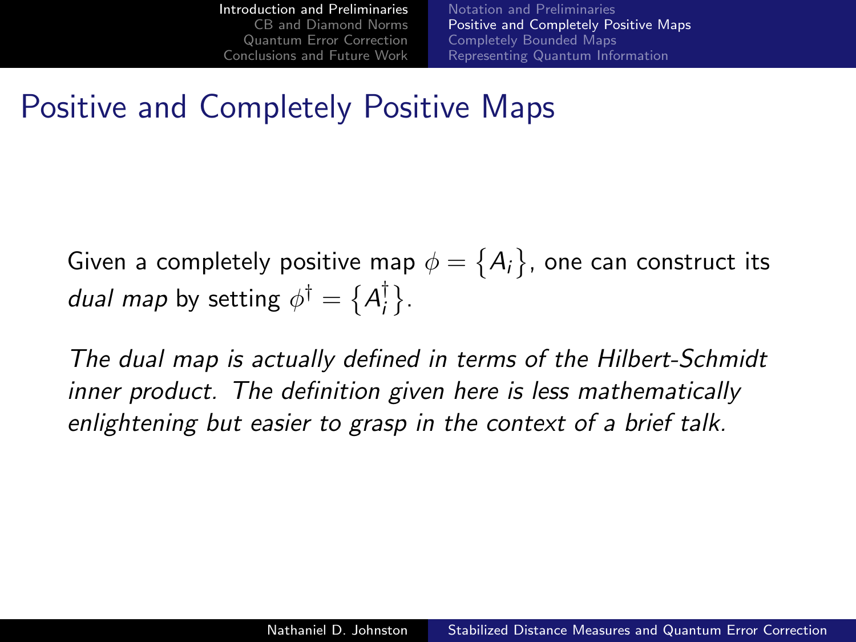[Notation and Preliminaries](#page-2-0) [Positive and Completely Positive Maps](#page-4-0) [Completely Bounded Maps](#page-8-0) [Representing Quantum Information](#page-11-0)

## Positive and Completely Positive Maps

Given a completely positive map  $\phi=\big\{A_{i}\big\}$ , one can construct its *dual map* by setting  $\phi^{\dagger} = \{A^{\dagger}_i$  $^{\dagger}_{i}$ .

The dual map is actually defined in terms of the Hilbert-Schmidt inner product. The definition given here is less mathematically enlightening but easier to grasp in the context of a brief talk.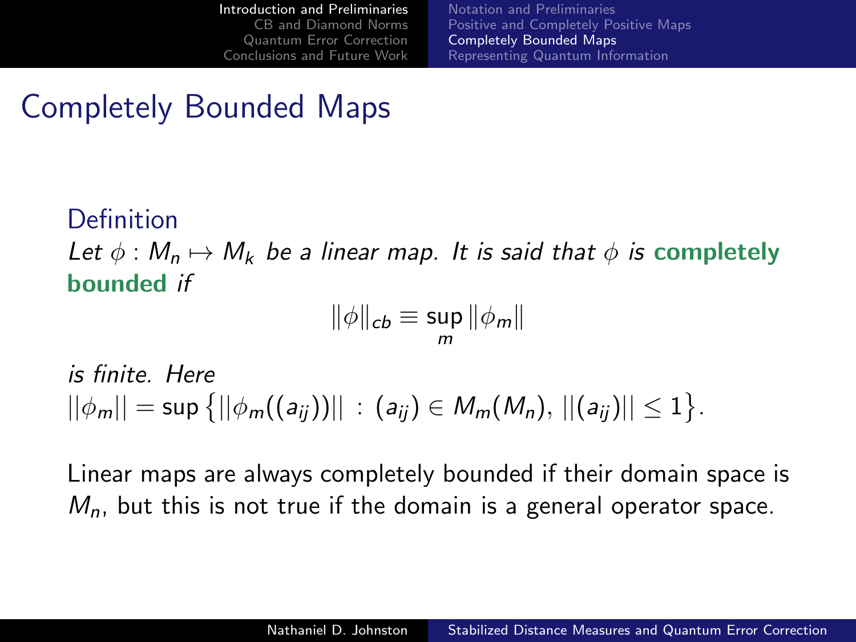[Notation and Preliminaries](#page-2-0) [Positive and Completely Positive Maps](#page-4-0) [Completely Bounded Maps](#page-8-0) [Representing Quantum Information](#page-11-0)

# Completely Bounded Maps

#### Definition

Let  $\phi : M_n \mapsto M_k$  be a linear map. It is said that  $\phi$  is completely bounded if

<span id="page-8-0"></span>
$$
\|\phi\|_{cb}\equiv \sup_m \|\phi_m\|
$$

is finite. Here  $||\phi_m|| = \sup\big\{||\phi_m((\mathsf{a}_{ij}))||\,:\, (\mathsf{a}_{ij})\in \mathsf{M}_m(\mathsf{M}_n),\,||(\mathsf{a}_{ij})||\leq 1\big\}.$ 

Linear maps are always completely bounded if their domain space is  $M_n$ , but this is not true if the domain is a general operator space.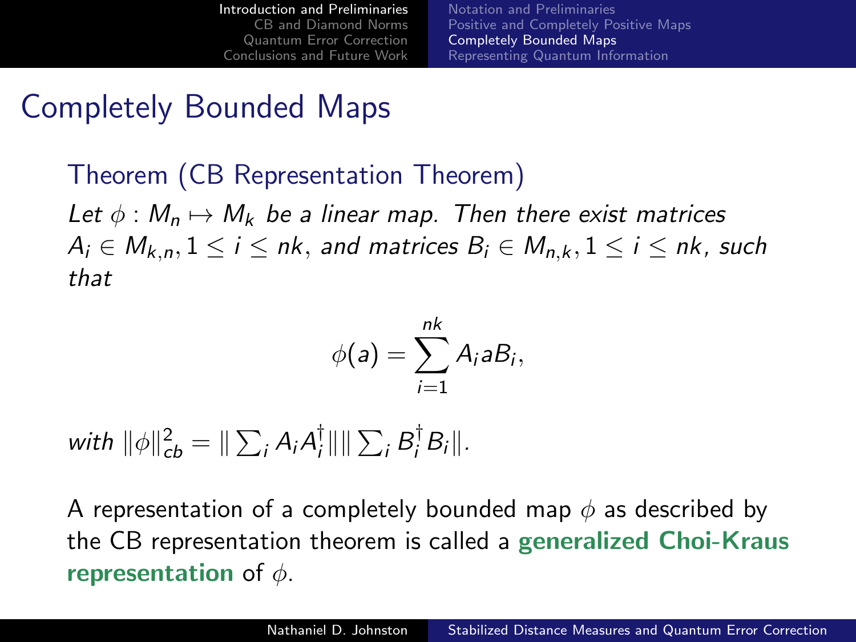[Notation and Preliminaries](#page-2-0) [Positive and Completely Positive Maps](#page-4-0) [Completely Bounded Maps](#page-8-0) [Representing Quantum Information](#page-11-0)

## Completely Bounded Maps

Theorem (CB Representation Theorem) Let  $\phi : M_n \mapsto M_k$  be a linear map. Then there exist matrices  $A_i \in M_{k,n}, 1 \leq i \leq n$ k, and matrices  $B_i \in M_{n,k}, 1 \leq i \leq n$ k, such that

$$
\phi(a)=\sum_{i=1}^{nk}A_i a B_i,
$$

with  $\|\phi\|_{cb}^2 = \|\sum_i A_i A_i^{\dagger}$  $\frac{1}{i}$ ||  $\sum_i B_i^{\dagger} B_i$ ||.

A representation of a completely bounded map  $\phi$  as described by the CB representation theorem is called a generalized Choi-Kraus representation of  $\phi$ .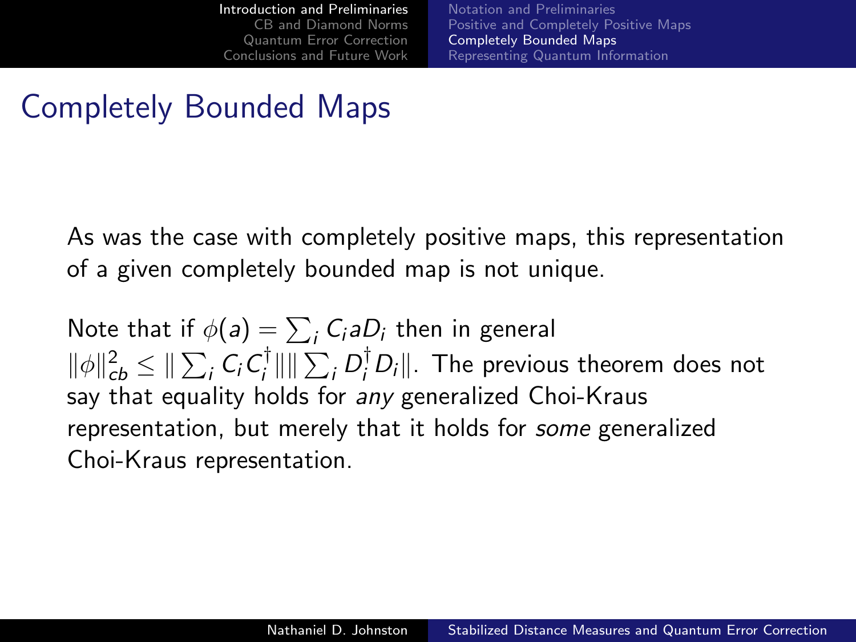[Notation and Preliminaries](#page-2-0) [Positive and Completely Positive Maps](#page-4-0) [Completely Bounded Maps](#page-8-0) [Representing Quantum Information](#page-11-0)

## Completely Bounded Maps

As was the case with completely positive maps, this representation of a given completely bounded map is not unique.

Note that if  $\phi(\mathsf{a}) = \sum_i \mathsf{C}_i \mathsf{a} D_i$  then in general  $\|\phi\|_{cb}^2 \leq \|\sum_i C_i C_i^{\dagger}$  $\frac{1}{i}$ || ||  $\sum_i D_i^{\dagger} D_i$ ||. The previous theorem does not say that equality holds for any generalized Choi-Kraus representation, but merely that it holds for some generalized Choi-Kraus representation.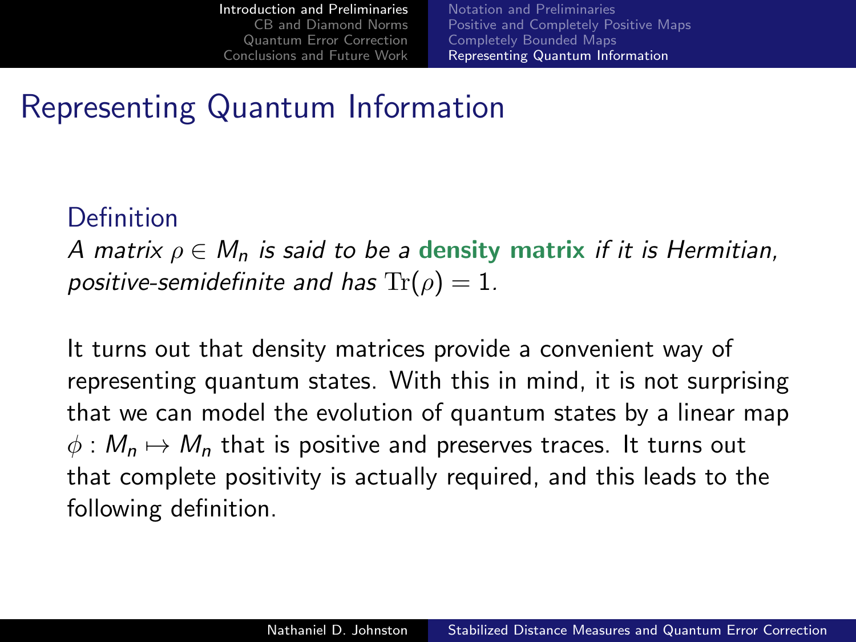<span id="page-11-0"></span>[Notation and Preliminaries](#page-2-0) [Positive and Completely Positive Maps](#page-4-0) [Completely Bounded Maps](#page-8-0) [Representing Quantum Information](#page-11-0)

## Representing Quantum Information

#### Definition

A matrix  $\rho \in M_n$  is said to be a density matrix if it is Hermitian, positive-semidefinite and has  $Tr(\rho) = 1$ .

It turns out that density matrices provide a convenient way of representing quantum states. With this in mind, it is not surprising that we can model the evolution of quantum states by a linear map  $\phi : M_n \mapsto M_n$  that is positive and preserves traces. It turns out that complete positivity is actually required, and this leads to the following definition.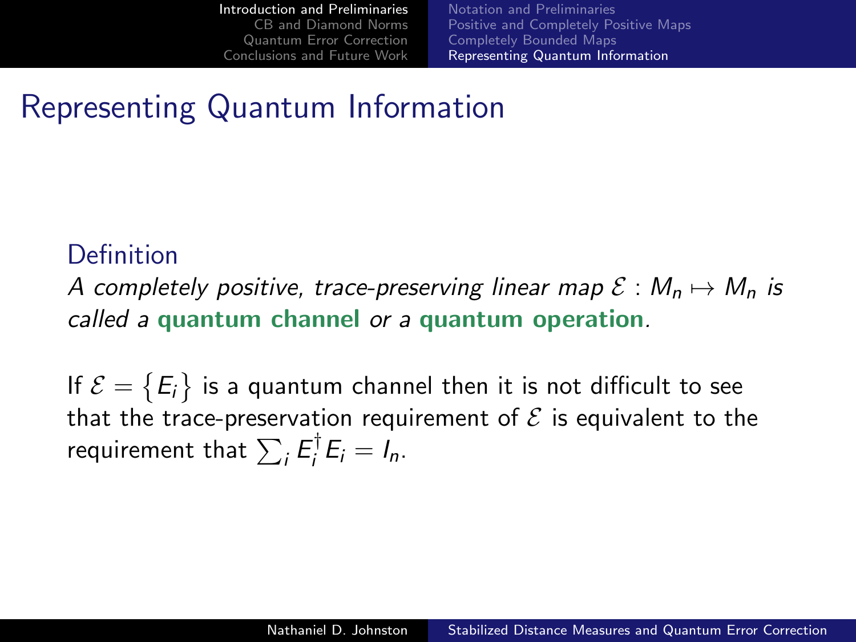[Notation and Preliminaries](#page-2-0) [Positive and Completely Positive Maps](#page-4-0) [Completely Bounded Maps](#page-8-0) [Representing Quantum Information](#page-11-0)

## Representing Quantum Information

#### Definition

A completely positive, trace-preserving linear map  $\mathcal{E}: M_n \mapsto M_n$  is called a quantum channel or a quantum operation.

If  $\mathcal{E}=\big\{E_i\big\}$  is a quantum channel then it is not difficult to see that the trace-preservation requirement of  $\mathcal E$  is equivalent to the requirement that  $\sum_i \mathcal{E}_i^\dagger$  $E_i = I_n$ .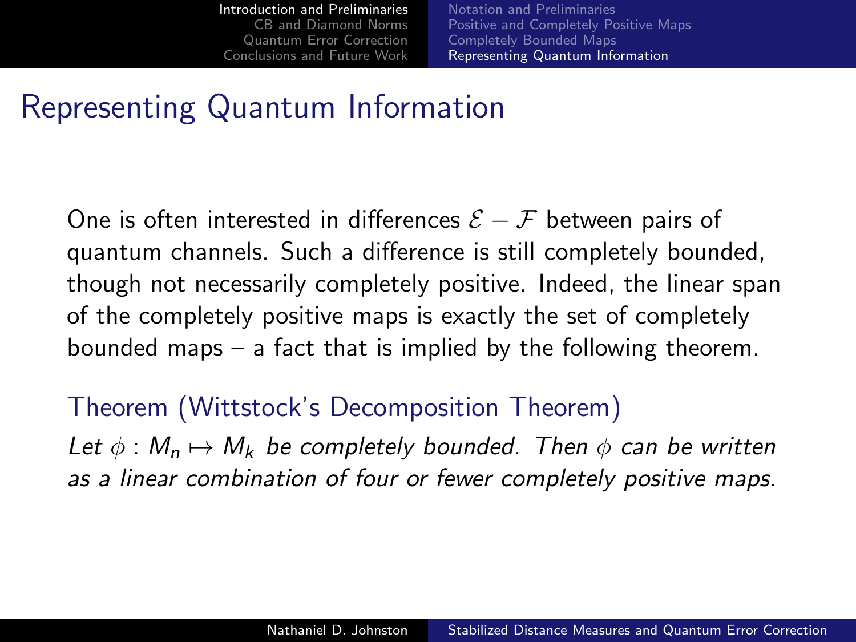[Notation and Preliminaries](#page-2-0) [Positive and Completely Positive Maps](#page-4-0) [Completely Bounded Maps](#page-8-0) [Representing Quantum Information](#page-11-0)

#### Representing Quantum Information

One is often interested in differences  $\mathcal{E} - \mathcal{F}$  between pairs of quantum channels. Such a difference is still completely bounded, though not necessarily completely positive. Indeed, the linear span of the completely positive maps is exactly the set of completely bounded maps – a fact that is implied by the following theorem.

#### Theorem (Wittstock's Decomposition Theorem)

Let  $\phi : M_n \mapsto M_k$  be completely bounded. Then  $\phi$  can be written as a linear combination of four or fewer completely positive maps.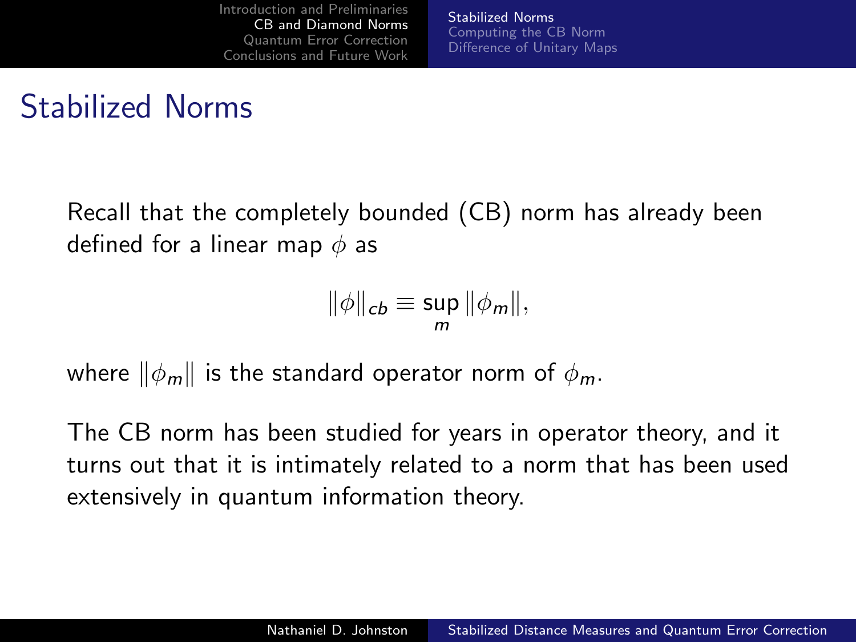[Stabilized Norms](#page-14-0) [Computing the CB Norm](#page-18-0) [Difference of Unitary Maps](#page-24-0)

# Stabilized Norms

Recall that the completely bounded (CB) norm has already been defined for a linear map  $\phi$  as

<span id="page-14-0"></span>
$$
\|\phi\|_{cb}\equiv\sup_m\|\phi_m\|,
$$

where  $\|\phi_m\|$  is the standard operator norm of  $\phi_m$ .

The CB norm has been studied for years in operator theory, and it turns out that it is intimately related to a norm that has been used extensively in quantum information theory.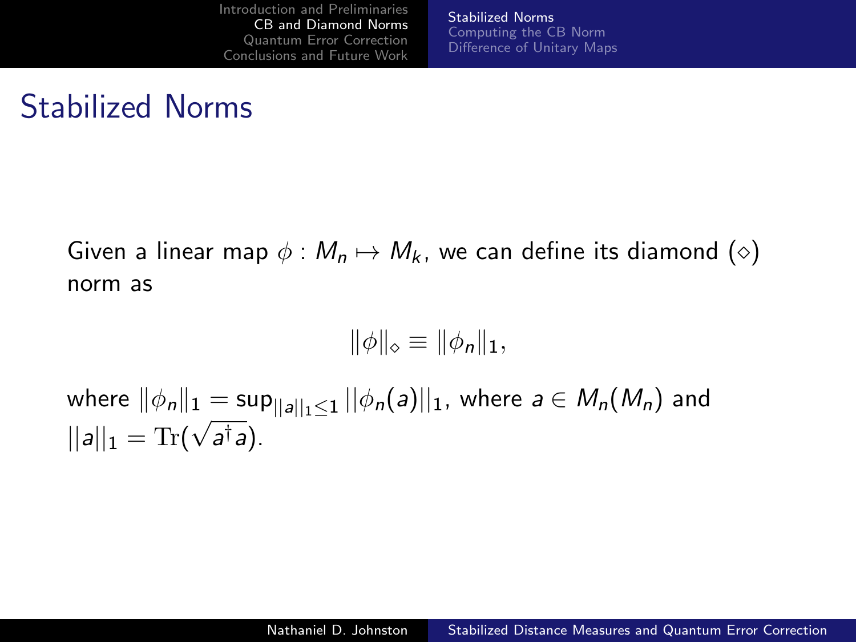[Stabilized Norms](#page-14-0) [Computing the CB Norm](#page-18-0) [Difference of Unitary Maps](#page-24-0)

## Stabilized Norms

Given a linear map  $\phi : M_n \mapsto M_k$ , we can define its diamond ( $\diamond$ ) norm as

$$
\|\phi\|_{\diamond} \equiv \|\phi_n\|_1,
$$

where  $\|\phi_n\|_1 = \sup_{||a||_1\leq 1}||\phi_n(a)||_1$ , where  $a\in M_n(M_n)$  and  $||a||_1 = \text{Tr}(\sqrt{a^{\dagger}a}).$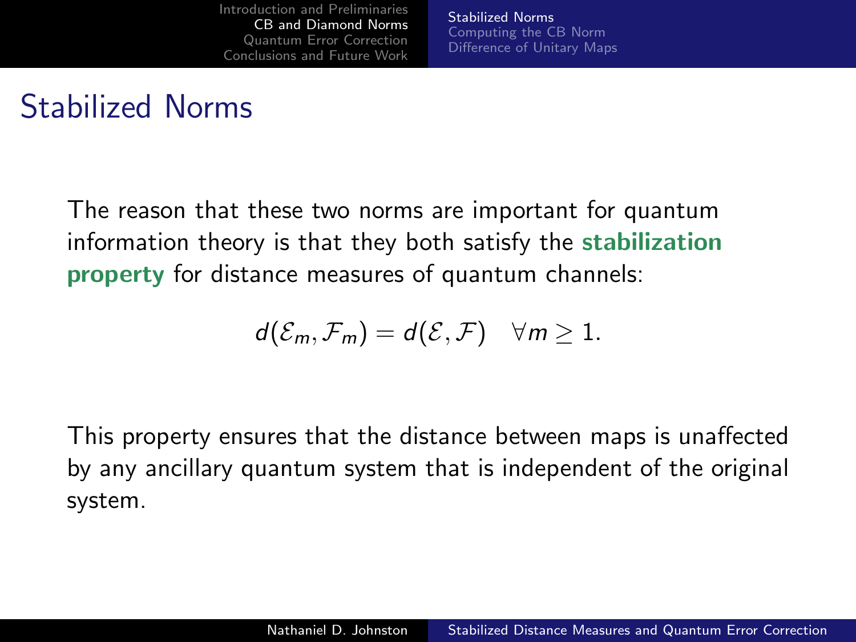[Stabilized Norms](#page-14-0) [Computing the CB Norm](#page-18-0) [Difference of Unitary Maps](#page-24-0)

## Stabilized Norms

The reason that these two norms are important for quantum information theory is that they both satisfy the stabilization property for distance measures of quantum channels:

$$
d(\mathcal{E}_m,\mathcal{F}_m)=d(\mathcal{E},\mathcal{F})\quad \forall m\geq 1.
$$

This property ensures that the distance between maps is unaffected by any ancillary quantum system that is independent of the original system.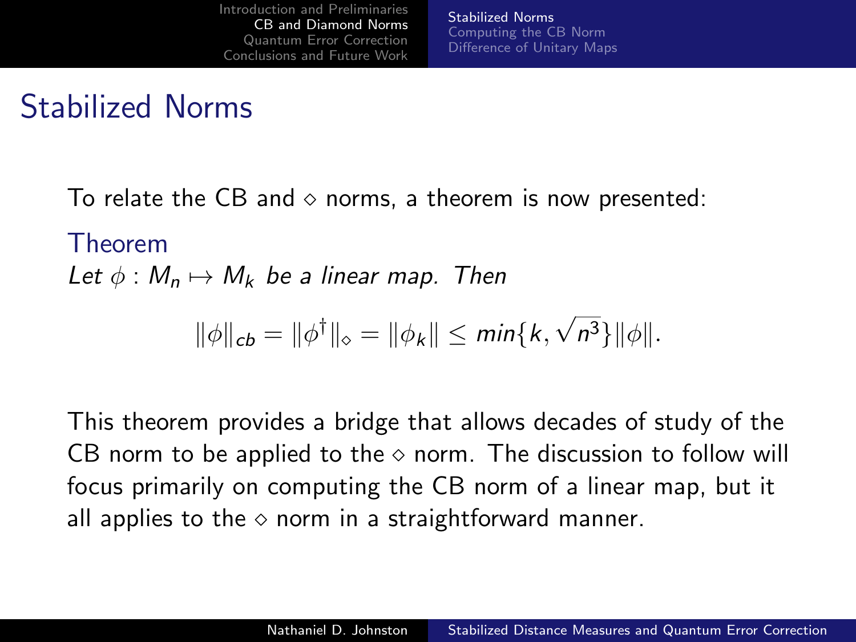# Stabilized Norms

To relate the CB and  $\diamond$  norms, a theorem is now presented:

#### Theorem

Let  $\phi : M_n \mapsto M_k$  be a linear map. Then

$$
\|\phi\|_{cb} = \|\phi^{\dagger}\|_{\diamond} = \|\phi_k\| \le \min\{k, \sqrt{n^3}\}\|\phi\|.
$$

This theorem provides a bridge that allows decades of study of the CB norm to be applied to the  $\diamond$  norm. The discussion to follow will focus primarily on computing the CB norm of a linear map, but it all applies to the  $\diamond$  norm in a straightforward manner.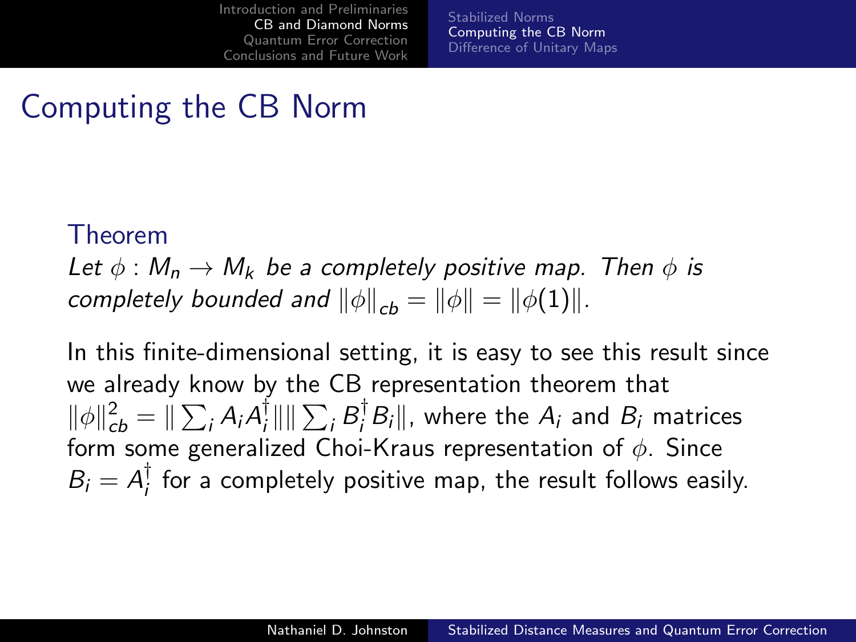<span id="page-18-0"></span>[Stabilized Norms](#page-14-0) [Computing the CB Norm](#page-18-0) [Difference of Unitary Maps](#page-24-0)

## Computing the CB Norm

#### Theorem

Let  $\phi : M_n \to M_k$  be a completely positive map. Then  $\phi$  is completely bounded and  $\|\phi\|_{cb} = \|\phi\| = \|\phi(1)\|$ .

In this finite-dimensional setting, it is easy to see this result since we already know by the CB representation theorem that  $\|\phi\|_{cb}^2 = \|\sum_i A_i A_i^{\dagger}$  $\frac{1}{i}$ |||| $\sum_i B_i^{\dagger} B_i$ ||, where the  $A_i$  and  $B_i$  matrices form some generalized Choi-Kraus representation of  $\phi$ . Since  $B_i = A_i^{\dagger}$  $\frac{1}{l}$  for a completely positive map, the result follows easily.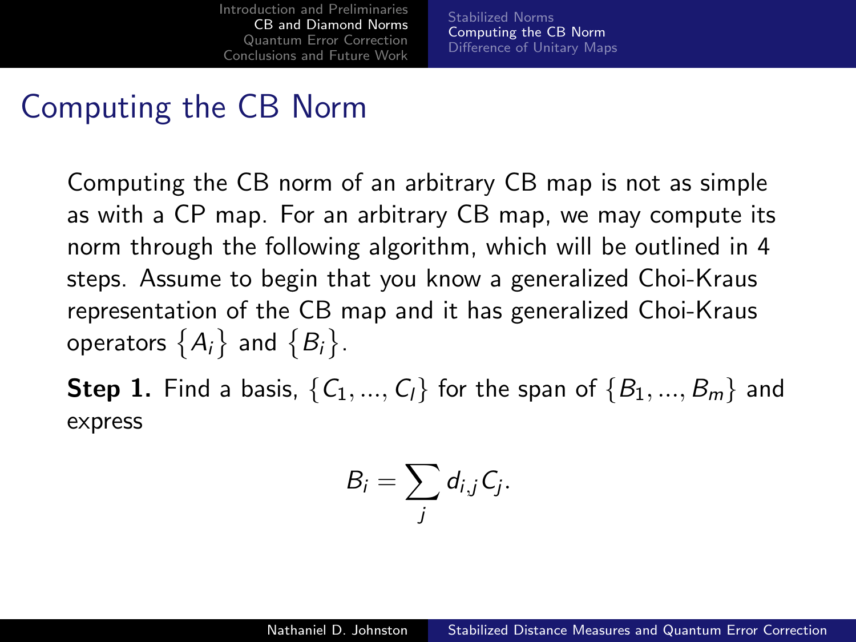[Stabilized Norms](#page-14-0) [Computing the CB Norm](#page-18-0) [Difference of Unitary Maps](#page-24-0)

### Computing the CB Norm

Computing the CB norm of an arbitrary CB map is not as simple as with a CP map. For an arbitrary CB map, we may compute its norm through the following algorithm, which will be outlined in 4 steps. Assume to begin that you know a generalized Choi-Kraus representation of the CB map and it has generalized Choi-Kraus operators  $\big\{A_i\big\}$  and  $\big\{B_i\big\}.$ 

**Step 1.** Find a basis,  $\{C_1, ..., C_l\}$  for the span of  $\{B_1, ..., B_m\}$  and express

$$
B_i=\sum_j d_{i,j}C_j.
$$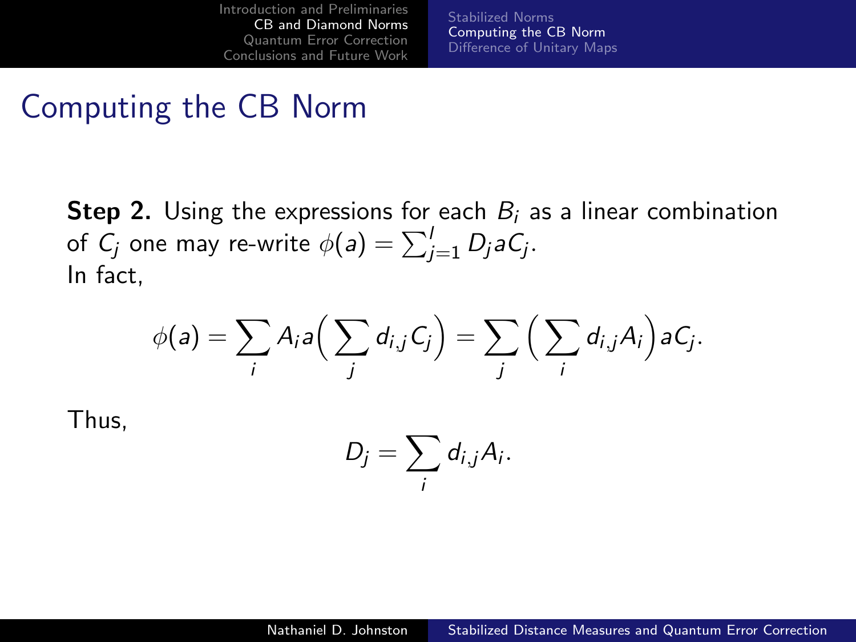[Stabilized Norms](#page-14-0) [Computing the CB Norm](#page-18-0) [Difference of Unitary Maps](#page-24-0)

### Computing the CB Norm

**Step 2.** Using the expressions for each  $B_i$  as a linear combination of  $\mathsf{C}_j$  one may re-write  $\phi(\mathsf{a}) = \sum_{j=1}^l D_j \mathsf{a} \mathsf{C}_j.$ In fact,

$$
\phi(a) = \sum_i A_i a\Big(\sum_j d_{i,j} C_j\Big) = \sum_j \Big(\sum_i d_{i,j} A_i\Big) a C_j.
$$

Thus,

$$
D_j=\sum_i d_{i,j}A_i.
$$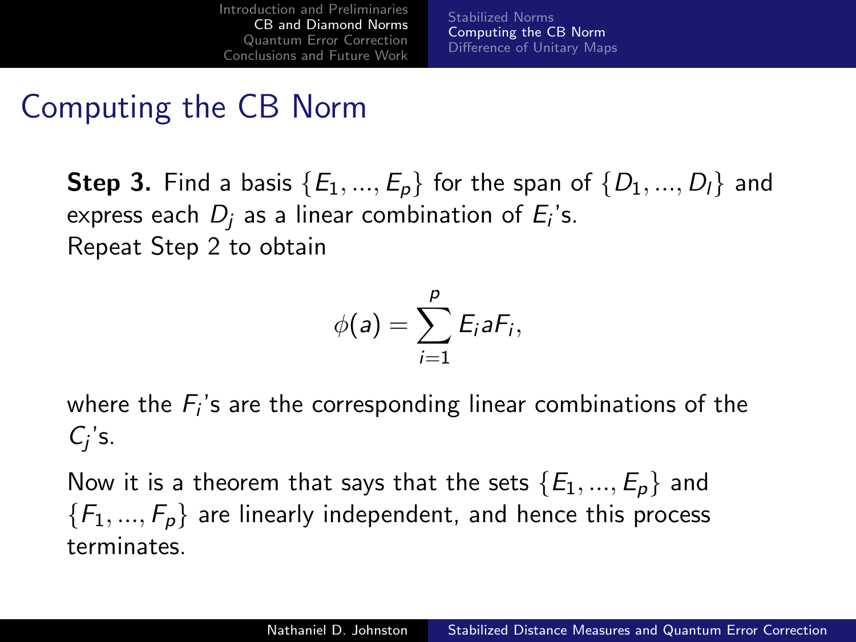[Stabilized Norms](#page-14-0) [Computing the CB Norm](#page-18-0) [Difference of Unitary Maps](#page-24-0)

## Computing the CB Norm

**Step 3.** Find a basis  $\{E_1, ..., E_p\}$  for the span of  $\{D_1, ..., D_l\}$  and express each  $D_j$  as a linear combination of  $E_i$ 's. Repeat Step 2 to obtain

$$
\phi(a)=\sum_{i=1}^p E_i a F_i,
$$

where the  $F_i$ 's are the corresponding linear combinations of the  $C_j$ 's.

Now it is a theorem that says that the sets  $\{E_1, ..., E_p\}$  and  ${F_1, ..., F_p}$  are linearly independent, and hence this process terminates.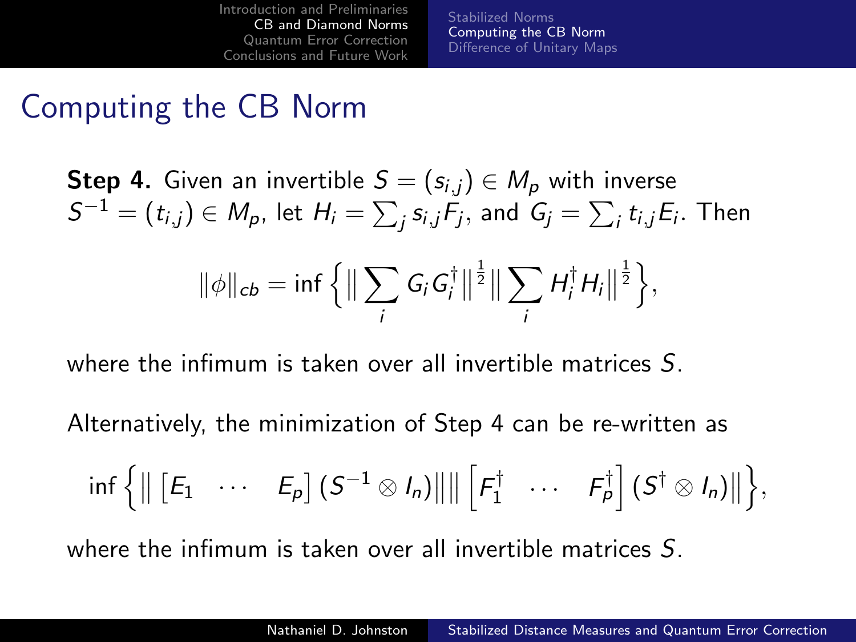[Stabilized Norms](#page-14-0) [Computing the CB Norm](#page-18-0) [Difference of Unitary Maps](#page-24-0)

#### Computing the CB Norm

**Step 4.** Given an invertible  $S = (s_{i,j}) \in M_p$  with inverse  $\mathcal{S}^{-1}=(t_{i,j})\in \mathcal{M}_{\rho},$  let  $H_{i}=\sum_{j}s_{i,j}\mathcal{F}_{j},$  and  $\mathcal{G}_{j}=\sum_{i}t_{i,j}\mathcal{E}_{i}.$  Then

$$
\|\phi\|_{cb} = \inf \left\{ \Big\| \sum_i G_i G_i^{\dagger} \Big\|^{\frac{1}{2}} \Big\| \sum_i H_i^{\dagger} H_i \Big\|^{\frac{1}{2}} \right\},\
$$

where the infimum is taken over all invertible matrices S.

Alternatively, the minimization of Step 4 can be re-written as

$$
\inf \left\{ \left\| \begin{bmatrix} E_1 & \cdots & E_p \end{bmatrix} (S^{-1} \otimes I_n) \right\| \right\| \begin{bmatrix} F_1^{\dagger} & \cdots & F_p^{\dagger} \end{bmatrix} (S^{\dagger} \otimes I_n) \right\| \right\},\
$$

where the infimum is taken over all invertible matrices S.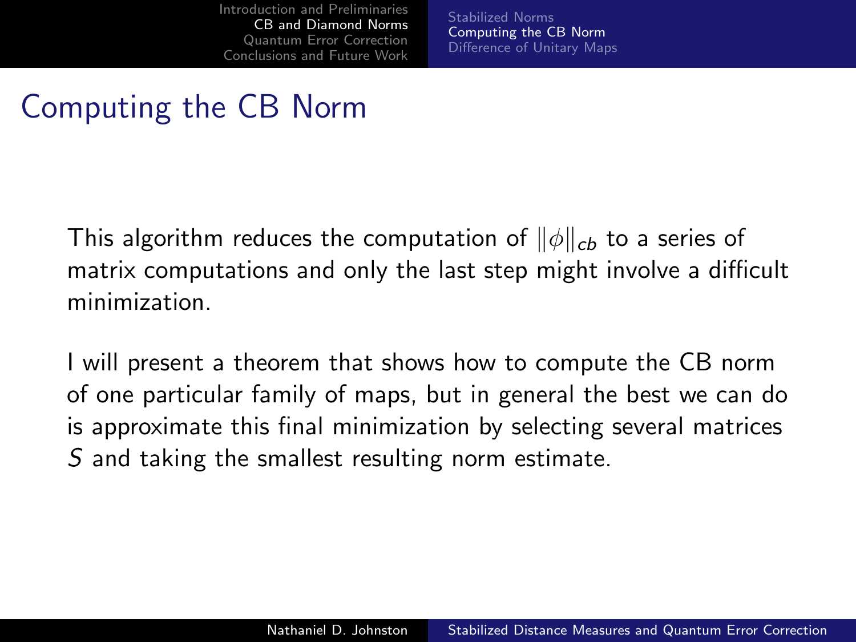[Stabilized Norms](#page-14-0) [Computing the CB Norm](#page-18-0) [Difference of Unitary Maps](#page-24-0)

## Computing the CB Norm

This algorithm reduces the computation of  $\|\phi\|_{cb}$  to a series of matrix computations and only the last step might involve a difficult minimization.

I will present a theorem that shows how to compute the CB norm of one particular family of maps, but in general the best we can do is approximate this final minimization by selecting several matrices S and taking the smallest resulting norm estimate.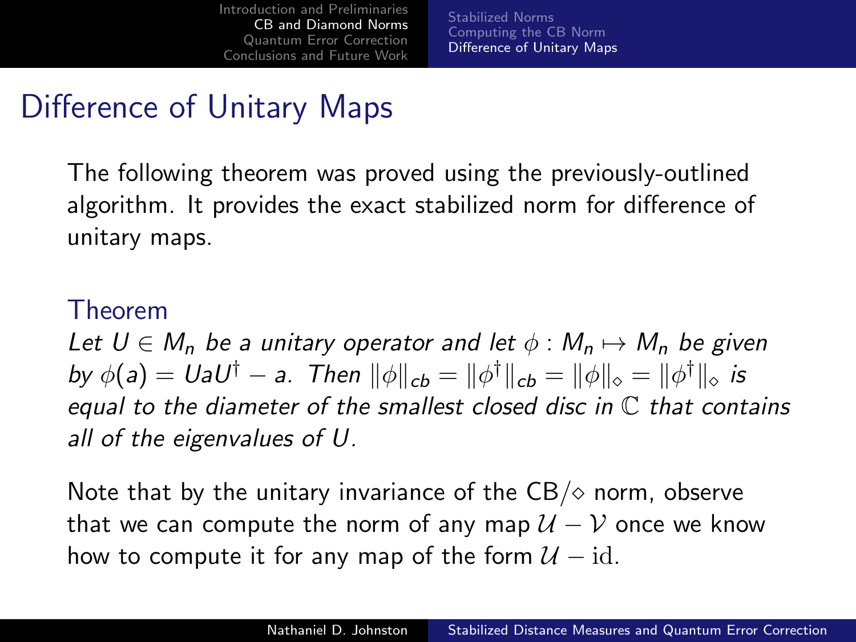<span id="page-24-0"></span>[Stabilized Norms](#page-14-0) [Computing the CB Norm](#page-18-0) [Difference of Unitary Maps](#page-24-0)

# Difference of Unitary Maps

The following theorem was proved using the previously-outlined algorithm. It provides the exact stabilized norm for difference of unitary maps.

#### Theorem

Let  $U \in M_n$  be a unitary operator and let  $\phi : M_n \mapsto M_n$  be given by  $\phi(a)=U a U^\dagger-a$ . Then  $\|\phi\|_{\bm{c}\bm{b}}=\|\phi^\dagger\|_{\bm{c}\bm{b}}=\|\phi\|_{\diamond}=\|\phi^\dagger\|_{\diamond}$  is equal to the diameter of the smallest closed disc in  $\mathbb C$  that contains all of the eigenvalues of U.

Note that by the unitary invariance of the  $CB/\diamond$  norm, observe that we can compute the norm of any map  $U - V$  once we know how to compute it for any map of the form  $\mathcal{U} - id$ .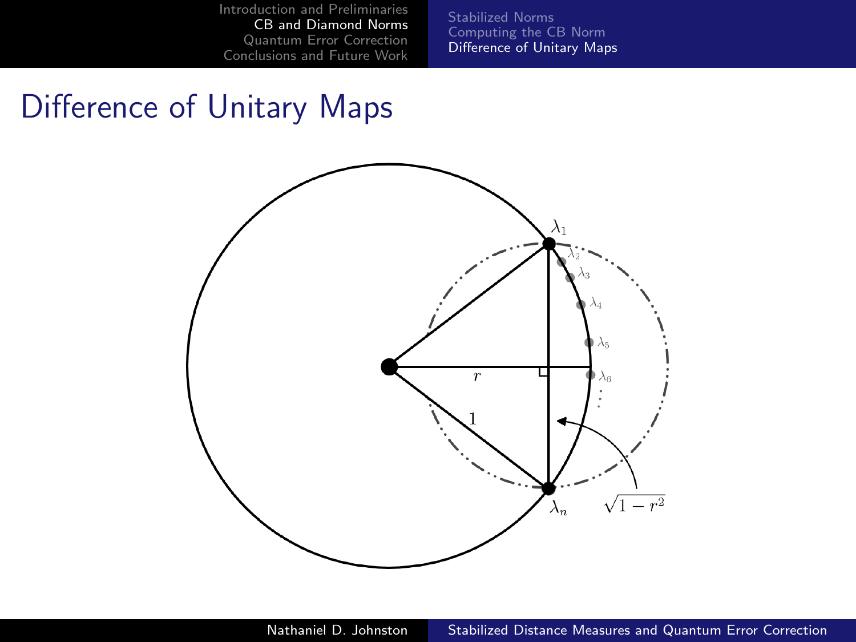[Stabilized Norms](#page-14-0) [Computing the CB Norm](#page-18-0) [Difference of Unitary Maps](#page-24-0)

### Difference of Unitary Maps

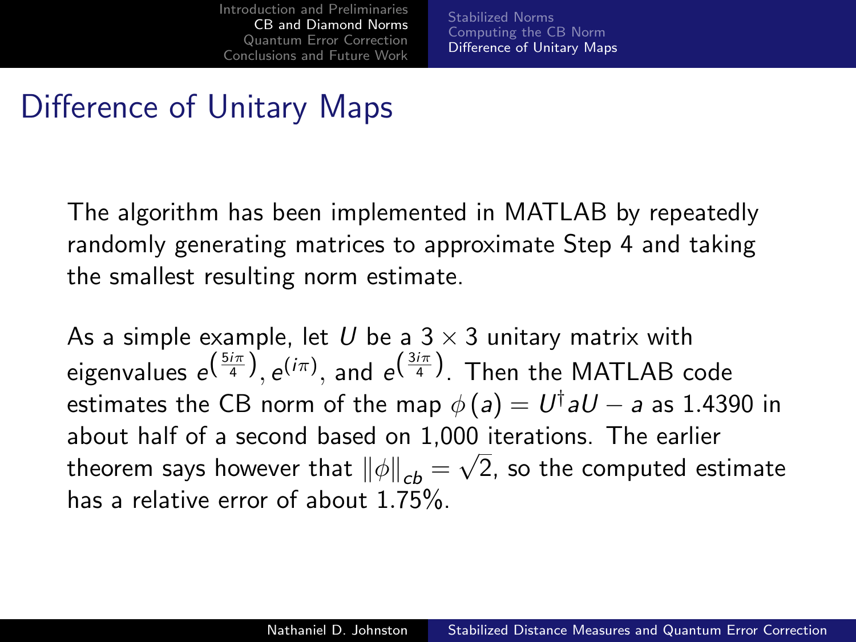[Stabilized Norms](#page-14-0) [Computing the CB Norm](#page-18-0) [Difference of Unitary Maps](#page-24-0)

## Difference of Unitary Maps

The algorithm has been implemented in MATLAB by repeatedly randomly generating matrices to approximate Step 4 and taking the smallest resulting norm estimate.

As a simple example, let U be a  $3 \times 3$  unitary matrix with eigenvalues  $e^{\left(\frac{5 i \pi}{4}\right)}, e^{(i \pi)},$  and  $e^{\left(\frac{3 i \pi}{4}\right)}$ . Then the MATLAB code estimates the CB norm of the map  $\phi\left(\bm{\mathsf{a}}\right)=\bm{\mathsf{U}}^{\dagger}\bm{\mathsf{a}}\bm{\mathsf{U}}-\bm{\mathsf{a}}$  as 1.4390 in about half of a second based on 1,000 iterations. The earlier theorem says however that  $\left\Vert \phi\right\Vert _{cb}=\sqrt{2}$ , so the computed estimate has a relative error of about 1.75%.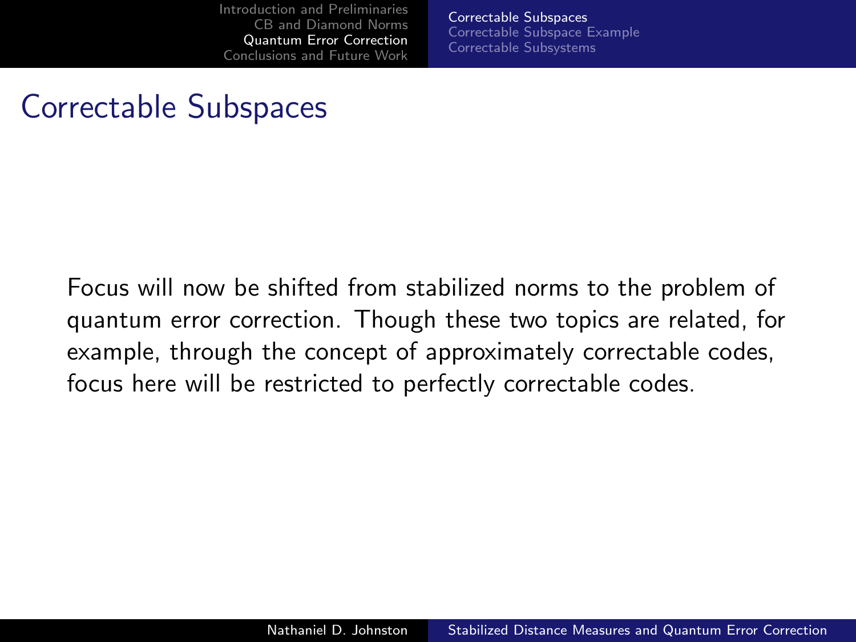<span id="page-27-0"></span>[Correctable Subspaces](#page-27-0) [Correctable Subspace Example](#page-32-0) [Correctable Subsystems](#page-38-0)

## Correctable Subspaces

Focus will now be shifted from stabilized norms to the problem of quantum error correction. Though these two topics are related, for example, through the concept of approximately correctable codes, focus here will be restricted to perfectly correctable codes.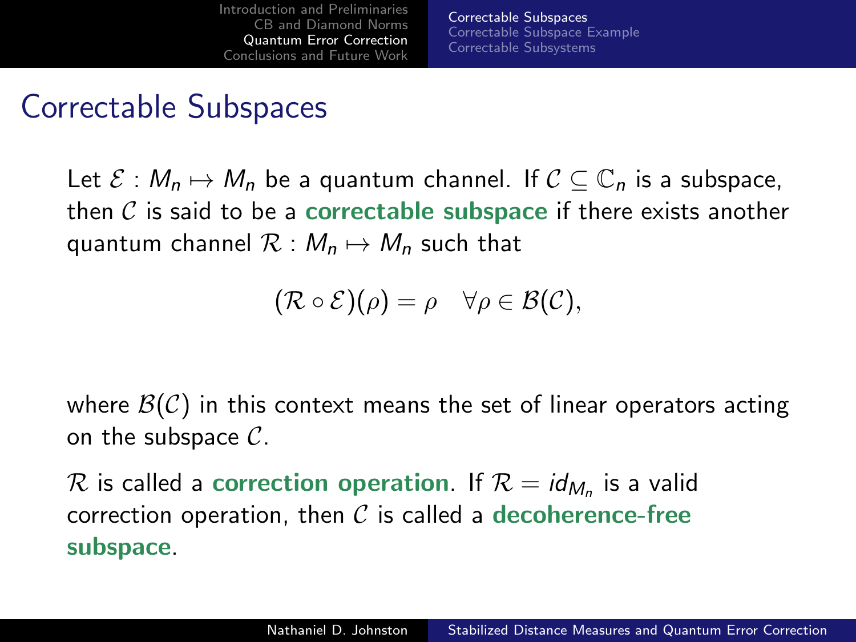[Correctable Subspaces](#page-27-0) [Correctable Subspace Example](#page-32-0) [Correctable Subsystems](#page-38-0)

#### Correctable Subspaces

Let  $\mathcal{E}: M_n \mapsto M_n$  be a quantum channel. If  $\mathcal{C} \subseteq \mathbb{C}_n$  is a subspace, then  $\mathcal C$  is said to be a correctable subspace if there exists another quantum channel  $\mathcal{R}: M_n \mapsto M_n$  such that

$$
(\mathcal{R}\circ\mathcal{E})(\rho)=\rho\quad\forall\rho\in\mathcal{B}(\mathcal{C}),
$$

where  $\mathcal{B}(\mathcal{C})$  in this context means the set of linear operators acting on the subspace  $C$ .

 $\cal R$  is called a correction operation. If  ${\cal R} = {\mathit id}_{M_n}$  is a valid correction operation, then  $\mathcal C$  is called a decoherence-free subspace.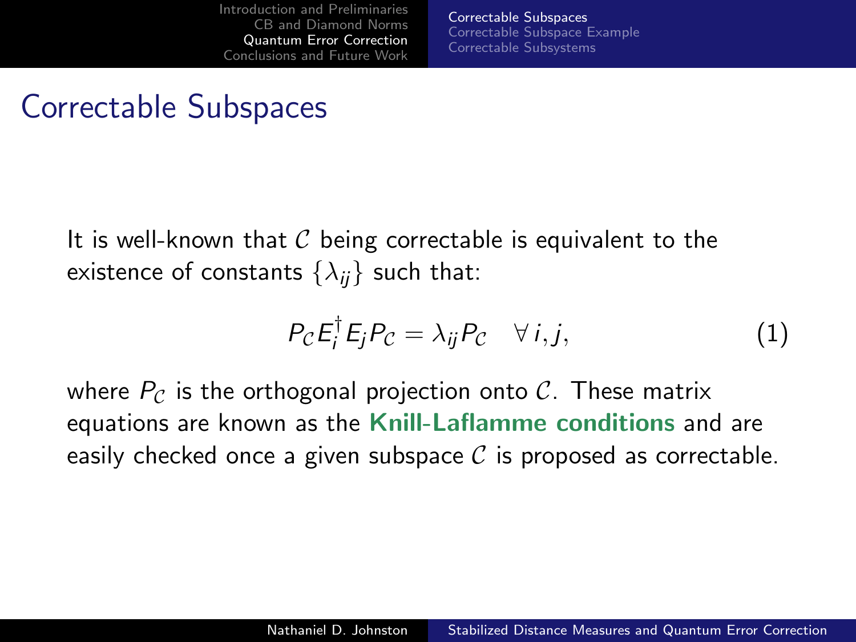[Correctable Subspaces](#page-27-0) [Correctable Subspace Example](#page-32-0) [Correctable Subsystems](#page-38-0)

#### Correctable Subspaces

It is well-known that  $C$  being correctable is equivalent to the existence of constants  $\{\lambda_{ij}\}$  such that:

$$
P_{\mathcal{C}}E_{i}^{\dagger}E_{j}P_{\mathcal{C}}=\lambda_{ij}P_{\mathcal{C}}\quad\forall\,i,j,\tag{1}
$$

where  $P_C$  is the orthogonal projection onto C. These matrix equations are known as the Knill-Laflamme conditions and are easily checked once a given subspace  $\mathcal C$  is proposed as correctable.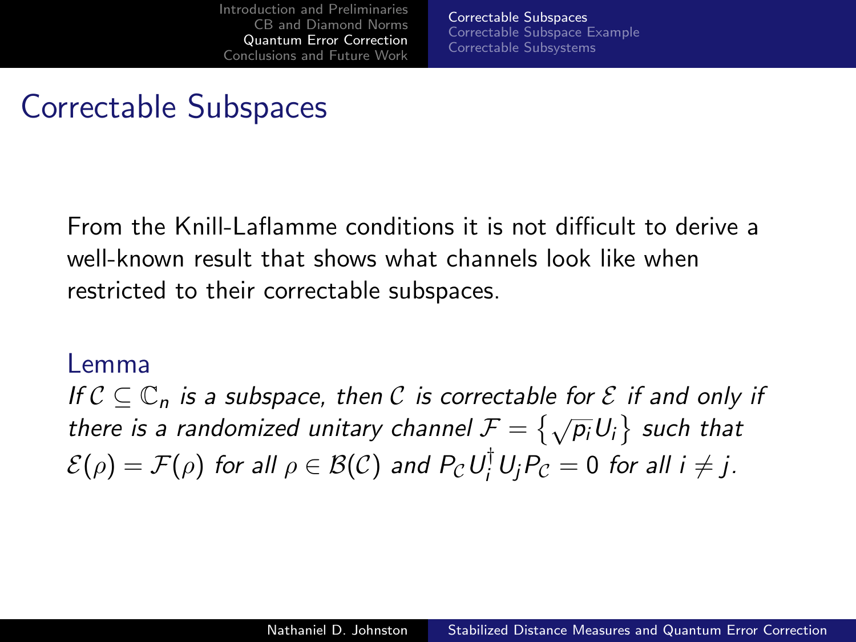[Correctable Subspaces](#page-27-0) [Correctable Subspace Example](#page-32-0) [Correctable Subsystems](#page-38-0)

## Correctable Subspaces

From the Knill-Laflamme conditions it is not difficult to derive a well-known result that shows what channels look like when restricted to their correctable subspaces.

#### Lemma

If  $C \subset \mathbb{C}_n$  is a subspace, then C is correctable for E if and only if there is a randomized unitary channel  $\mathcal{F} = \{ \sqrt{p_i} U_i \}$  such that  $\mathcal{E}(\rho)=\mathcal{F}(\rho)$  for all  $\rho\in\mathcal{B}(\mathcal{C})$  and  $P_{\mathcal{C}}\,U_{i}^{\dagger}\,U_{j}P_{\mathcal{C}}=0$  for all  $i\neq j.$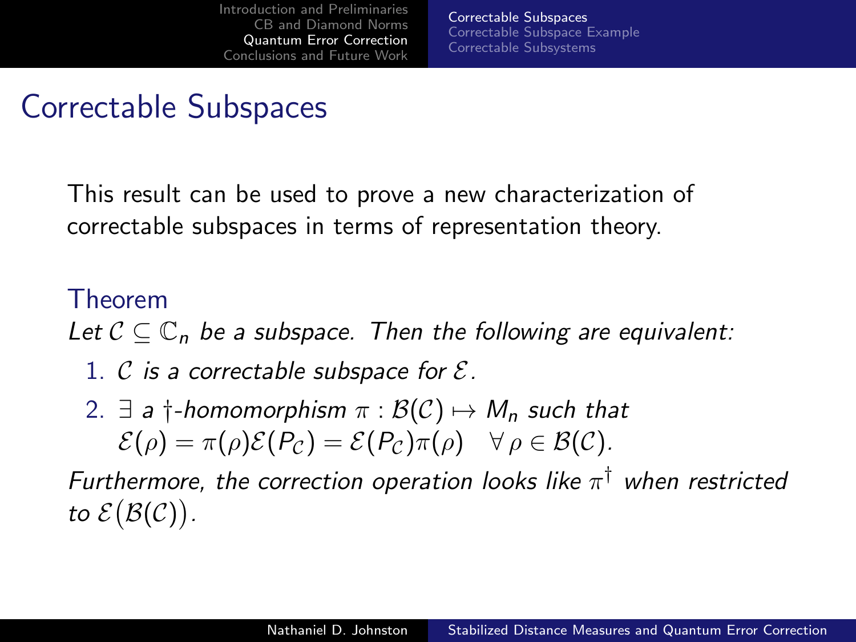[Correctable Subspaces](#page-27-0) [Correctable Subspace Example](#page-32-0) [Correctable Subsystems](#page-38-0)

### Correctable Subspaces

This result can be used to prove a new characterization of correctable subspaces in terms of representation theory.

#### Theorem

Let  $C \subset \mathbb{C}_n$  be a subspace. Then the following are equivalent:

- 1. C is a correctable subspace for  $\mathcal{E}$ .
- 2.  $\exists$  a  $\dagger$ -homomorphism  $\pi : \mathcal{B}(\mathcal{C}) \mapsto M_n$  such that  $\mathcal{E}(\rho) = \pi(\rho)\mathcal{E}(P_{\mathcal{C}}) = \mathcal{E}(P_{\mathcal{C}})\pi(\rho) \quad \forall \rho \in \mathcal{B}(\mathcal{C}).$

Furthermore, the correction operation looks like  $\pi^{\dagger}$  when restricted to  $\mathcal{E}(\mathcal{B}(\mathcal{C}))$ .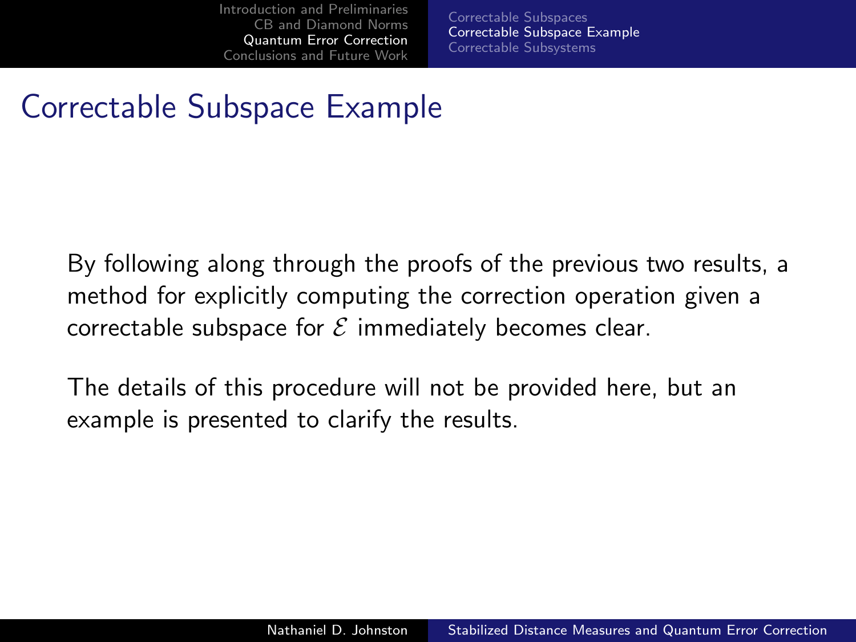<span id="page-32-0"></span>[Correctable Subspaces](#page-27-0) [Correctable Subspace Example](#page-32-0) [Correctable Subsystems](#page-38-0)

## Correctable Subspace Example

By following along through the proofs of the previous two results, a method for explicitly computing the correction operation given a correctable subspace for  $\mathcal E$  immediately becomes clear.

The details of this procedure will not be provided here, but an example is presented to clarify the results.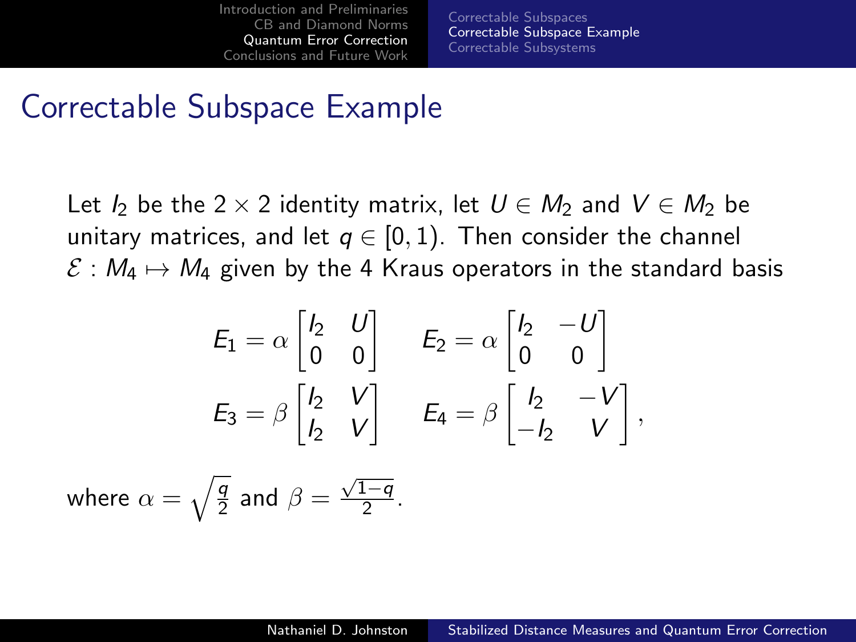[Correctable Subspaces](#page-27-0) [Correctable Subspace Example](#page-32-0) [Correctable Subsystems](#page-38-0)

#### Correctable Subspace Example

Let I<sub>2</sub> be the 2 × 2 identity matrix, let  $U \in M_2$  and  $V \in M_2$  be unitary matrices, and let  $q \in [0,1)$ . Then consider the channel  $\mathcal{E}: M_4 \mapsto M_4$  given by the 4 Kraus operators in the standard basis

$$
E_1 = \alpha \begin{bmatrix} I_2 & U \\ 0 & 0 \end{bmatrix} \qquad E_2 = \alpha \begin{bmatrix} I_2 & -U \\ 0 & 0 \end{bmatrix}
$$

$$
E_3 = \beta \begin{bmatrix} I_2 & V \\ I_2 & V \end{bmatrix} \qquad E_4 = \beta \begin{bmatrix} I_2 & -V \\ -I_2 & V \end{bmatrix},
$$

where  $\alpha=\sqrt{\frac{q}{2}}$  and  $\beta=\frac{\sqrt{1-q}}{2}$  $rac{1-q}{2}$ .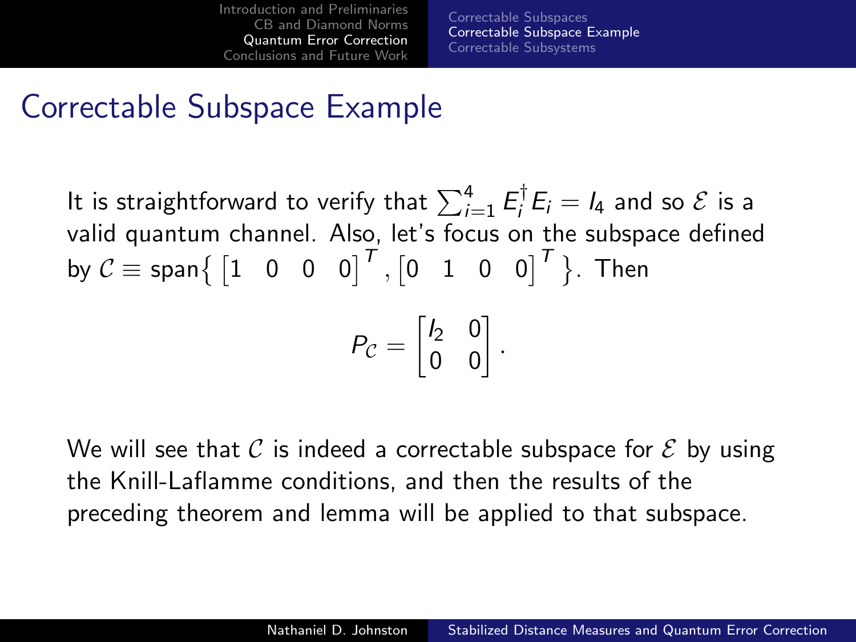[Correctable Subspaces](#page-27-0) [Correctable Subspace Example](#page-32-0) [Correctable Subsystems](#page-38-0)

## Correctable Subspace Example

It is straightforward to verify that  $\sum_{i=1}^4 E_i^\dagger$  $E_i^{\dagger} E_i = I_4$  and so  $\mathcal E$  is a valid quantum channel. Also, let's focus on the subspace defined by  $\mathcal{C}\equiv \mathsf{span}\big\{ \begin{bmatrix} 1 & 0 & 0 & 0 \end{bmatrix}^T, \begin{bmatrix} 0 & 1 & 0 & 0 \end{bmatrix}^T \big\}$ . Then

$$
P_{\mathcal{C}} = \begin{bmatrix} I_2 & 0 \\ 0 & 0 \end{bmatrix}
$$

.

We will see that C is indeed a correctable subspace for  $\mathcal E$  by using the Knill-Laflamme conditions, and then the results of the preceding theorem and lemma will be applied to that subspace.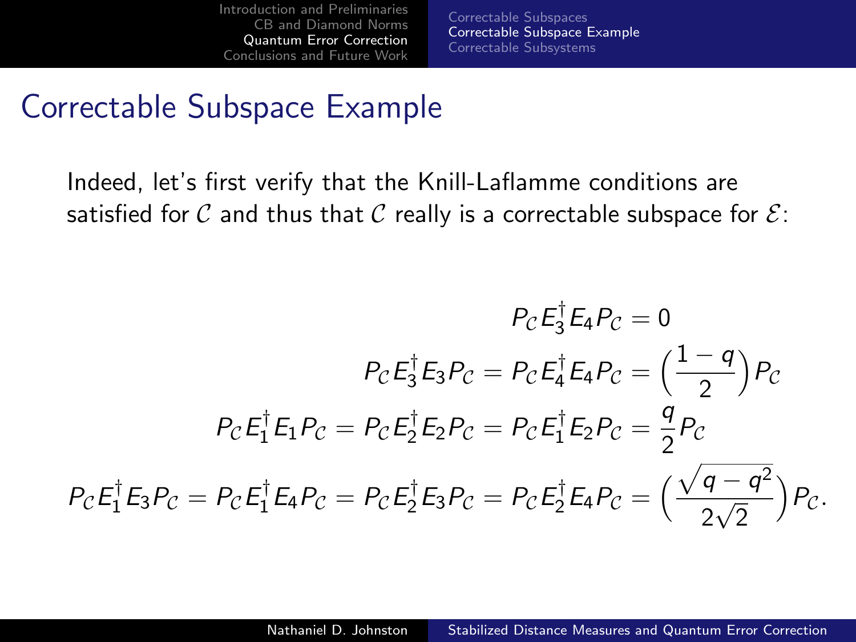[Correctable Subspaces](#page-27-0) [Correctable Subspace Example](#page-32-0) [Correctable Subsystems](#page-38-0)

#### Correctable Subspace Example

Indeed, let's first verify that the Knill-Laflamme conditions are satisfied for C and thus that C really is a correctable subspace for  $\mathcal{E}$ :

$$
P_{\mathcal{C}}E_3^{\dagger}E_4P_{\mathcal{C}} = 0
$$

$$
P_{\mathcal{C}}E_3^{\dagger}E_3P_{\mathcal{C}} = P_{\mathcal{C}}E_4^{\dagger}E_4P_{\mathcal{C}} = \left(\frac{1-q}{2}\right)P_{\mathcal{C}}
$$

$$
P_{\mathcal{C}}E_1^{\dagger}E_1P_{\mathcal{C}} = P_{\mathcal{C}}E_2^{\dagger}E_2P_{\mathcal{C}} = P_{\mathcal{C}}E_1^{\dagger}E_2P_{\mathcal{C}} = \frac{q}{2}P_{\mathcal{C}}
$$

$$
P_{\mathcal{C}}E_1^{\dagger}E_3P_{\mathcal{C}} = P_{\mathcal{C}}E_1^{\dagger}E_4P_{\mathcal{C}} = P_{\mathcal{C}}E_2^{\dagger}E_3P_{\mathcal{C}} = P_{\mathcal{C}}E_2^{\dagger}E_4P_{\mathcal{C}} = \left(\frac{\sqrt{q-q^2}}{2\sqrt{2}}\right)P_{\mathcal{C}}.
$$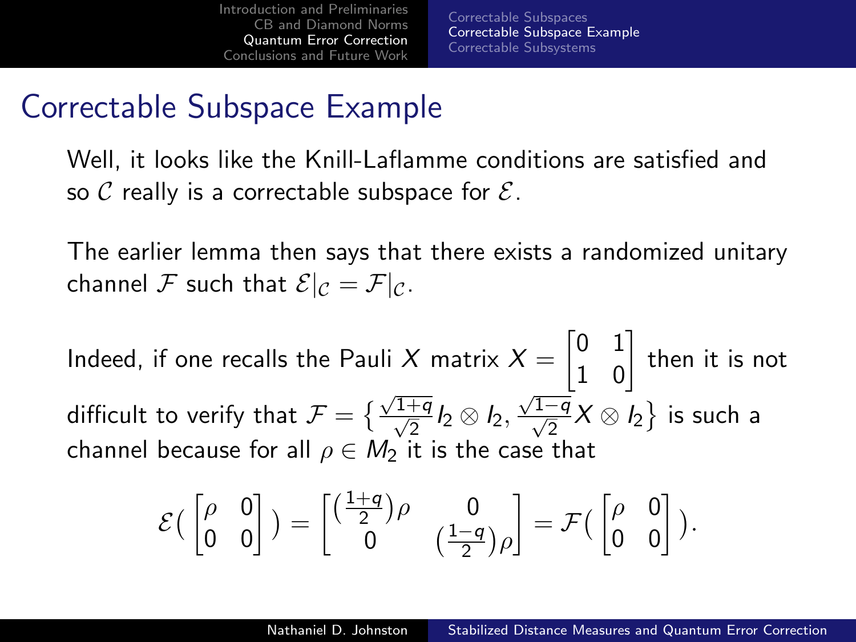[Correctable Subspaces](#page-27-0) [Correctable Subspace Example](#page-32-0) [Correctable Subsystems](#page-38-0)

## Correctable Subspace Example

Well, it looks like the Knill-Laflamme conditions are satisfied and so C really is a correctable subspace for  $\mathcal{E}$ .

The earlier lemma then says that there exists a randomized unitary channel F such that  $\mathcal{E}|_{\mathcal{C}} = \mathcal{F}|_{\mathcal{C}}$ .

Indeed, if one recalls the Pauli  $X$  matrix  $X = \begin{bmatrix} 0 & 1 \ 1 & 0 \end{bmatrix}$  then it is not difficult to verify that  $\mathcal{F} = \big\{ \frac{\sqrt{1+q}}{\sqrt{2}} I_2 \otimes I_2,$  $\frac{\sqrt{1-q}}{\sqrt{2}}$  X ⊗ I<sub>2</sub> } is such a channel because for all  $\rho \in M_2$  it is the case that

$$
\mathcal{E}\begin{pmatrix} \begin{bmatrix} \rho & 0 \\ 0 & 0 \end{bmatrix} \end{pmatrix} = \begin{bmatrix} \begin{pmatrix} \frac{1+q}{2} \end{pmatrix} \rho & 0 \\ 0 & \begin{pmatrix} \frac{1-q}{2} \end{pmatrix} \rho \end{bmatrix} = \mathcal{F}\begin{pmatrix} \begin{bmatrix} \rho & 0 \\ 0 & 0 \end{bmatrix} \end{pmatrix}.
$$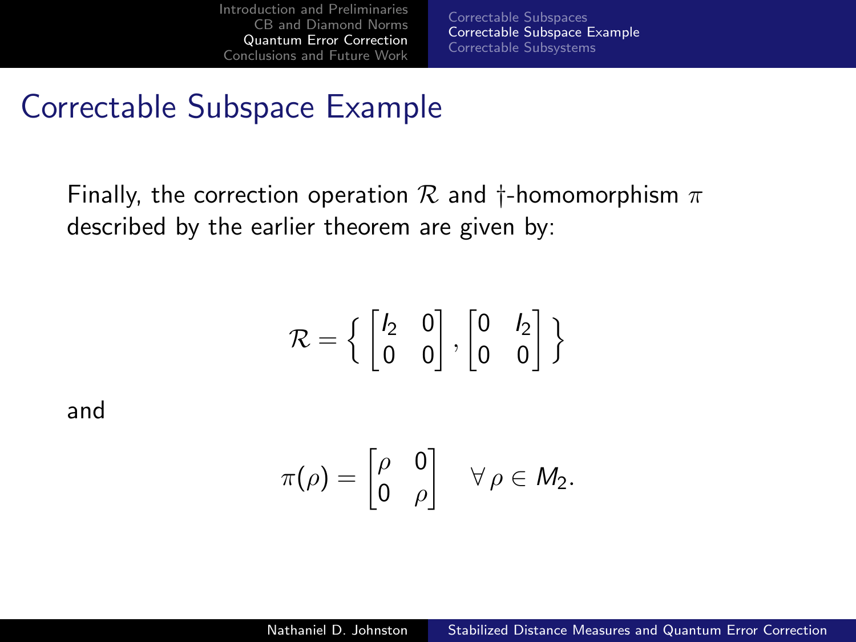[Correctable Subspaces](#page-27-0) [Correctable Subspace Example](#page-32-0) [Correctable Subsystems](#page-38-0)

#### Correctable Subspace Example

Finally, the correction operation  $\mathcal R$  and  $\dagger$ -homomorphism  $\pi$ described by the earlier theorem are given by:

$$
\mathcal{R} = \left\{ \begin{bmatrix} I_2 & 0 \\ 0 & 0 \end{bmatrix}, \begin{bmatrix} 0 & I_2 \\ 0 & 0 \end{bmatrix} \right\}
$$

and

$$
\pi(\rho) = \begin{bmatrix} \rho & 0 \\ 0 & \rho \end{bmatrix} \quad \forall \, \rho \in M_2.
$$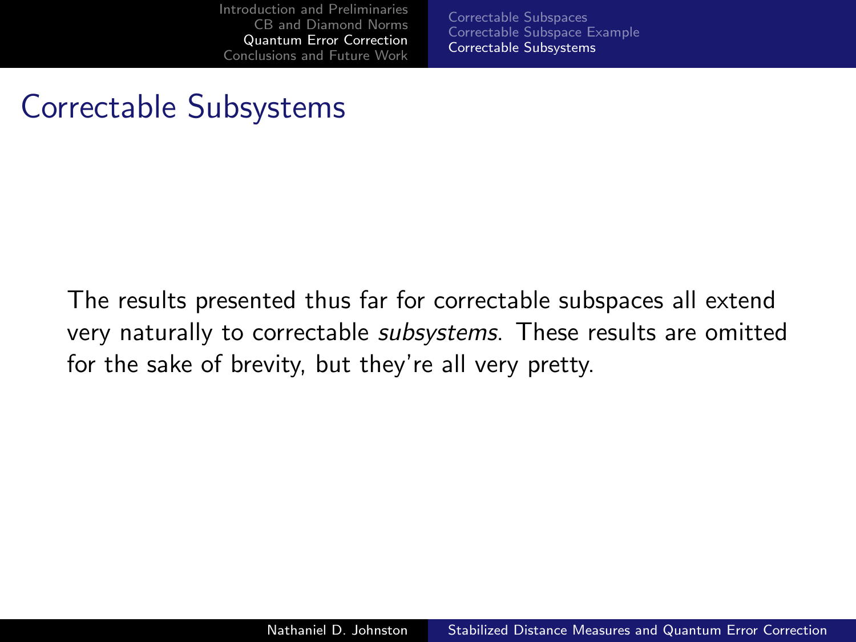<span id="page-38-0"></span>[Correctable Subspaces](#page-27-0) [Correctable Subspace Example](#page-32-0) [Correctable Subsystems](#page-38-0)

## Correctable Subsystems

The results presented thus far for correctable subspaces all extend very naturally to correctable *subsystems*. These results are omitted for the sake of brevity, but they're all very pretty.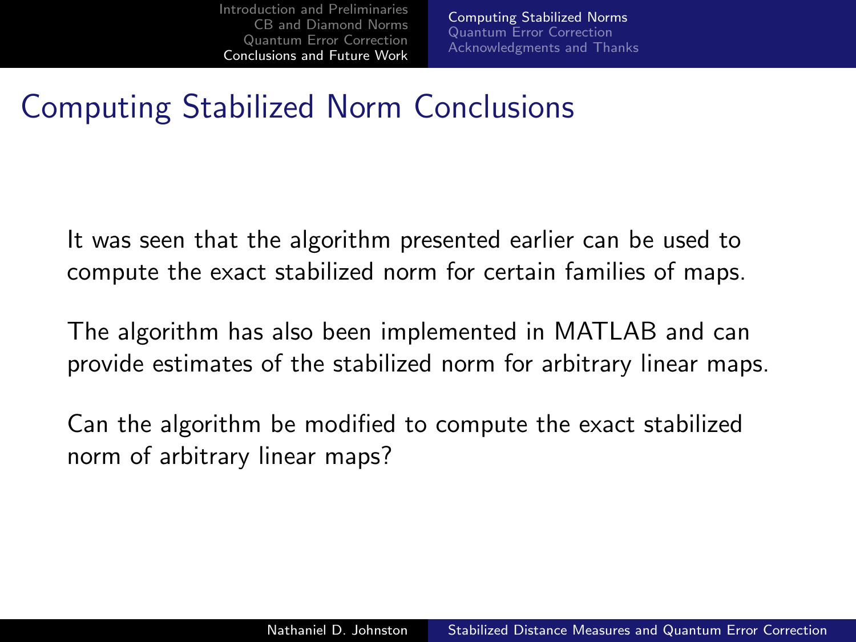<span id="page-39-0"></span>[Computing Stabilized Norms](#page-39-0) [Quantum Error Correction](#page-40-0) [Acknowledgments and Thanks](#page-41-0)

## Computing Stabilized Norm Conclusions

It was seen that the algorithm presented earlier can be used to compute the exact stabilized norm for certain families of maps.

The algorithm has also been implemented in MATLAB and can provide estimates of the stabilized norm for arbitrary linear maps.

Can the algorithm be modified to compute the exact stabilized norm of arbitrary linear maps?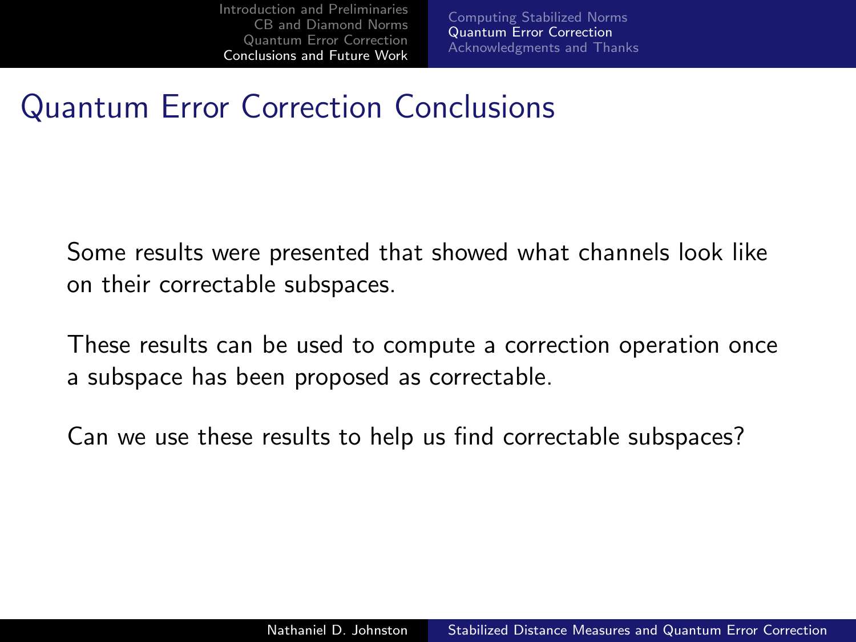<span id="page-40-0"></span>[Computing Stabilized Norms](#page-39-0) [Quantum Error Correction](#page-40-0) [Acknowledgments and Thanks](#page-41-0)

## Quantum Error Correction Conclusions

Some results were presented that showed what channels look like on their correctable subspaces.

These results can be used to compute a correction operation once a subspace has been proposed as correctable.

Can we use these results to help us find correctable subspaces?